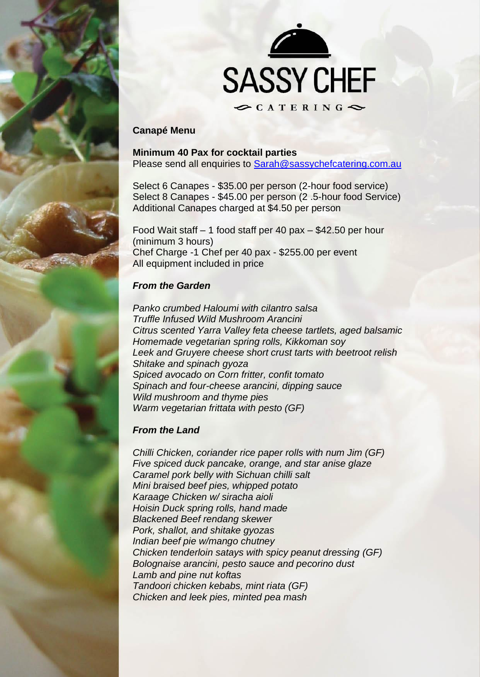



# **Canapé Menu**

**Minimum 40 Pax for cocktail parties** Please send all enquiries to [Sarah@sassychefcatering.com.au](mailto:Sarah@sassychefcatering.com.au)

Select 6 Canapes - \$35.00 per person (2-hour food service) Select 8 Canapes - \$45.00 per person (2 .5-hour food Service) Additional Canapes charged at \$4.50 per person

Food Wait staff – 1 food staff per 40 pax – \$42.50 per hour (minimum 3 hours) Chef Charge -1 Chef per 40 pax - \$255.00 per event All equipment included in price

## *From the Garden*

*Panko crumbed Haloumi with cilantro salsa Truffle Infused Wild Mushroom Arancini Citrus scented Yarra Valley feta cheese tartlets, aged balsamic Homemade vegetarian spring rolls, Kikkoman soy Leek and Gruyere cheese short crust tarts with beetroot relish Shitake and spinach gyoza Spiced avocado on Corn fritter, confit tomato Spinach and four-cheese arancini, dipping sauce Wild mushroom and thyme pies Warm vegetarian frittata with pesto (GF)*

#### *From the Land*

*Chilli Chicken, coriander rice paper rolls with num Jim (GF) Five spiced duck pancake, orange, and star anise glaze Caramel pork belly with Sichuan chilli salt Mini braised beef pies, whipped potato Karaage Chicken w/ siracha aioli Hoisin Duck spring rolls, hand made Blackened Beef rendang skewer Pork, shallot, and shitake gyozas Indian beef pie w/mango chutney Chicken tenderloin satays with spicy peanut dressing (GF) Bolognaise arancini, pesto sauce and pecorino dust Lamb and pine nut koftas Tandoori chicken kebabs, mint riata (GF) Chicken and leek pies, minted pea mash*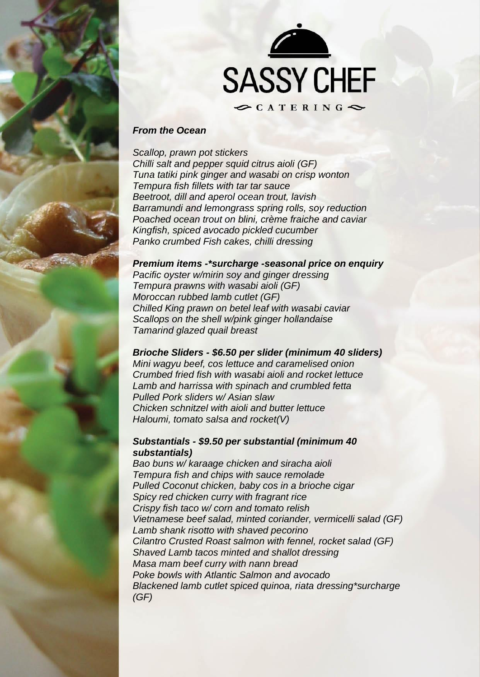



## *From the Ocean*

*Scallop, prawn pot stickers Chilli salt and pepper squid citrus aioli (GF) Tuna tatiki pink ginger and wasabi on crisp wonton Tempura fish fillets with tar tar sauce Beetroot, dill and aperol ocean trout, lavish Barramundi and lemongrass spring rolls, soy reduction Poached ocean trout on blini, crème fraiche and caviar Kingfish, spiced avocado pickled cucumber Panko crumbed Fish cakes, chilli dressing*

#### *Premium items -\*surcharge -seasonal price on enquiry*

*Pacific oyster w/mirin soy and ginger dressing Tempura prawns with wasabi aioli (GF) Moroccan rubbed lamb cutlet (GF) Chilled King prawn on betel leaf with wasabi caviar Scallops on the shell w/pink ginger hollandaise Tamarind glazed quail breast*

#### *Brioche Sliders - \$6.50 per slider (minimum 40 sliders)*

*Mini wagyu beef, cos lettuce and caramelised onion Crumbed fried fish with wasabi aioli and rocket lettuce Lamb and harrissa with spinach and crumbled fetta Pulled Pork sliders w/ Asian slaw Chicken schnitzel with aioli and butter lettuce Haloumi, tomato salsa and rocket(V)*

## *Substantials - \$9.50 per substantial (minimum 40 substantials)*

*Bao buns w/ karaage chicken and siracha aioli Tempura fish and chips with sauce remolade Pulled Coconut chicken, baby cos in a brioche cigar Spicy red chicken curry with fragrant rice Crispy fish taco w/ corn and tomato relish Vietnamese beef salad, minted coriander, vermicelli salad (GF) Lamb shank risotto with shaved pecorino Cilantro Crusted Roast salmon with fennel, rocket salad (GF) Shaved Lamb tacos minted and shallot dressing Masa mam beef curry with nann bread Poke bowls with Atlantic Salmon and avocado Blackened lamb cutlet spiced quinoa, riata dressing\*surcharge (GF)*